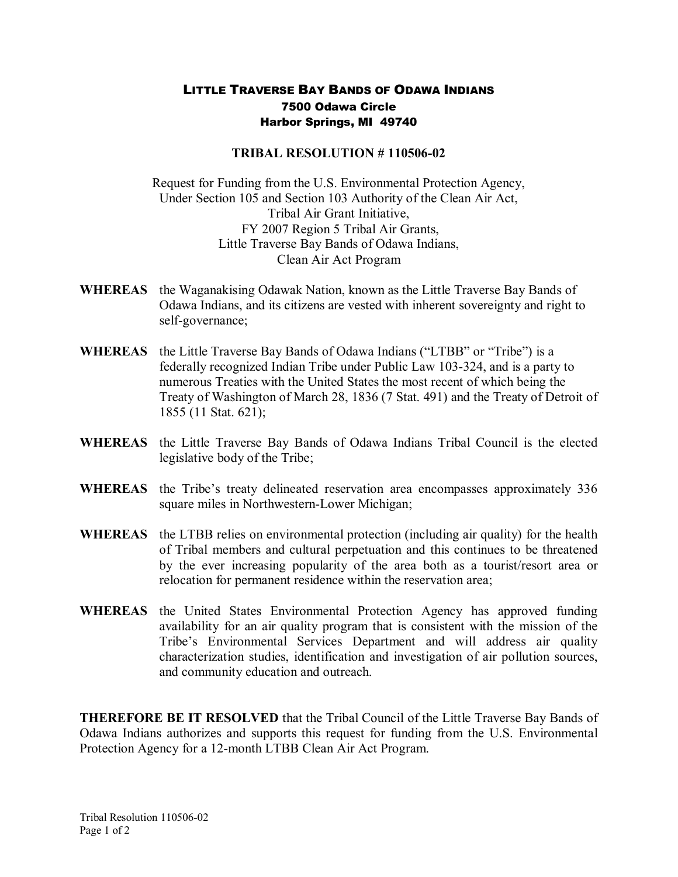## LITTLE TRAVERSE BAY BANDS OF ODAWA INDIANS 7500 Odawa Circle Harbor Springs, MI 49740

## **TRIBAL RESOLUTION #110506-02**

Request for Funding from the U.S. Environmental Protection Agency, Under Section 105 and Section 103 Authority of the Clean Air Act, Tribal Air Grant Initiative, FY 2007 Region 5 Tribal Air Grants, Little Traverse Bay Bands of Odawa Indians, Clean Air Act Program

- **WHEREAS** the Waganakising Odawak Nation, known as the Little Traverse Bay Bands of Odawa Indians, and its citizens are vested with inherent sovereignty and right to self-governance;
- **WHEREAS** the Little Traverse Bay Bands of Odawa Indians ("LTBB" or "Tribe") is a federally recognized Indian Tribe under Public Law 103-324, and is a party to numerous Treaties with the United States the most recent of which being the Treaty of Washington of March 28, 1836 (7 Stat. 491) and the Treaty of Detroit of 1855 (11 Stat. 621);
- **WHEREAS** the Little Traverse Bay Bands of Odawa Indians Tribal Council is the elected legislative body of the Tribe;
- **WHEREAS** the Tribe's treaty delineated reservation area encompasses approximately 336 square miles in Northwestern-Lower Michigan;
- **WHEREAS** the LTBB relies on environmental protection (including air quality) for the health of Tribal members and cultural perpetuation and this continues to be threatened by the ever increasing popularity of the area both as a tourist/resort area or relocation for permanent residence within the reservation area;
- **WHEREAS** the United States Environmental Protection Agency has approved funding availability for an air quality program that is consistent with the mission of the Tribe's Environmental Services Department and will address air quality characterization studies, identification and investigation of air pollution sources, and community education and outreach.

**THEREFORE BE IT RESOLVED** that the Tribal Council of the Little Traverse Bay Bands of Odawa Indians authorizes and supports this request for funding from the U.S. Environmental Protection Agency for a 12-month LTBB Clean Air Act Program.